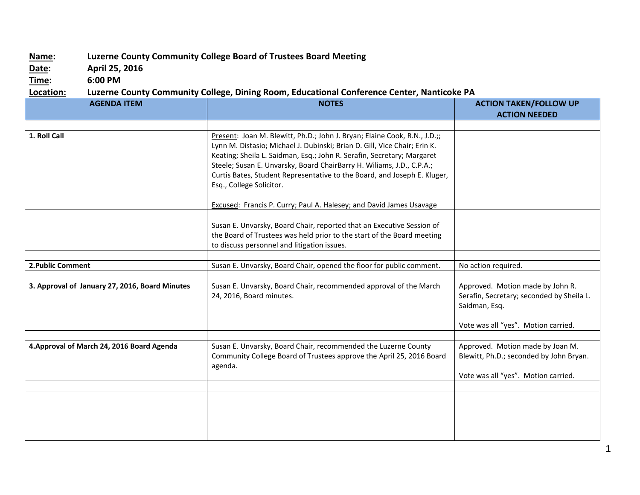## **Name: Luzerne County Community College Board of Trustees Board Meeting**

**Date: April 25, 2016**

**Time: 6:00 PM**

## **Location: Luzerne County Community College, Dining Room, Educational Conference Center, Nanticoke PA**

| <b>AGENDA ITEM</b>                             | <b>NOTES</b>                                                                                                                                                                                                                                                                                                                                                                                                                                                                             | <b>ACTION TAKEN/FOLLOW UP</b><br><b>ACTION NEEDED</b>                                                                                 |
|------------------------------------------------|------------------------------------------------------------------------------------------------------------------------------------------------------------------------------------------------------------------------------------------------------------------------------------------------------------------------------------------------------------------------------------------------------------------------------------------------------------------------------------------|---------------------------------------------------------------------------------------------------------------------------------------|
|                                                |                                                                                                                                                                                                                                                                                                                                                                                                                                                                                          |                                                                                                                                       |
| 1. Roll Call                                   | Present: Joan M. Blewitt, Ph.D.; John J. Bryan; Elaine Cook, R.N., J.D.;;<br>Lynn M. Distasio; Michael J. Dubinski; Brian D. Gill, Vice Chair; Erin K.<br>Keating; Sheila L. Saidman, Esq.; John R. Serafin, Secretary; Margaret<br>Steele; Susan E. Unvarsky, Board ChairBarry H. Wiliams, J.D., C.P.A.;<br>Curtis Bates, Student Representative to the Board, and Joseph E. Kluger,<br>Esq., College Solicitor.<br>Excused: Francis P. Curry; Paul A. Halesey; and David James Usavage |                                                                                                                                       |
|                                                |                                                                                                                                                                                                                                                                                                                                                                                                                                                                                          |                                                                                                                                       |
|                                                | Susan E. Unvarsky, Board Chair, reported that an Executive Session of<br>the Board of Trustees was held prior to the start of the Board meeting<br>to discuss personnel and litigation issues.                                                                                                                                                                                                                                                                                           |                                                                                                                                       |
|                                                |                                                                                                                                                                                                                                                                                                                                                                                                                                                                                          |                                                                                                                                       |
| 2. Public Comment                              | Susan E. Unvarsky, Board Chair, opened the floor for public comment.                                                                                                                                                                                                                                                                                                                                                                                                                     | No action required.                                                                                                                   |
| 3. Approval of January 27, 2016, Board Minutes | Susan E. Unvarsky, Board Chair, recommended approval of the March<br>24, 2016, Board minutes.                                                                                                                                                                                                                                                                                                                                                                                            | Approved. Motion made by John R.<br>Serafin, Secretary; seconded by Sheila L.<br>Saidman, Esq.<br>Vote was all "yes". Motion carried. |
|                                                |                                                                                                                                                                                                                                                                                                                                                                                                                                                                                          |                                                                                                                                       |
| 4. Approval of March 24, 2016 Board Agenda     | Susan E. Unvarsky, Board Chair, recommended the Luzerne County<br>Community College Board of Trustees approve the April 25, 2016 Board<br>agenda.                                                                                                                                                                                                                                                                                                                                        | Approved. Motion made by Joan M.<br>Blewitt, Ph.D.; seconded by John Bryan.<br>Vote was all "yes". Motion carried.                    |
|                                                |                                                                                                                                                                                                                                                                                                                                                                                                                                                                                          |                                                                                                                                       |
|                                                |                                                                                                                                                                                                                                                                                                                                                                                                                                                                                          |                                                                                                                                       |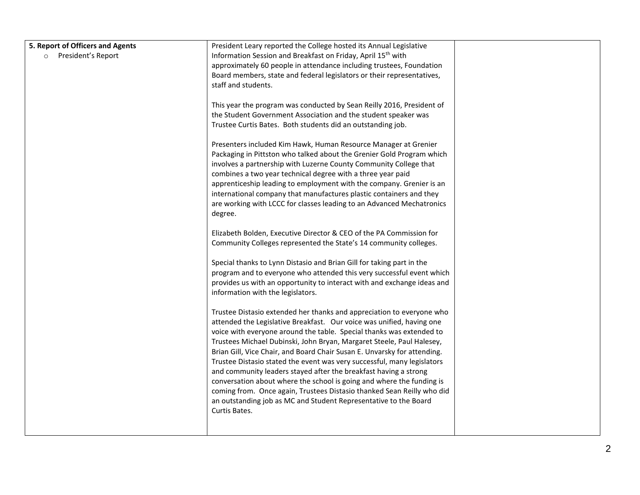| 5. Report of Officers and Agents | President Leary reported the College hosted its Annual Legislative                                                                       |  |
|----------------------------------|------------------------------------------------------------------------------------------------------------------------------------------|--|
| President's Report<br>$\circ$    | Information Session and Breakfast on Friday, April 15 <sup>th</sup> with                                                                 |  |
|                                  | approximately 60 people in attendance including trustees, Foundation                                                                     |  |
|                                  | Board members, state and federal legislators or their representatives,                                                                   |  |
|                                  | staff and students.                                                                                                                      |  |
|                                  |                                                                                                                                          |  |
|                                  | This year the program was conducted by Sean Reilly 2016, President of                                                                    |  |
|                                  | the Student Government Association and the student speaker was                                                                           |  |
|                                  | Trustee Curtis Bates. Both students did an outstanding job.                                                                              |  |
|                                  |                                                                                                                                          |  |
|                                  | Presenters included Kim Hawk, Human Resource Manager at Grenier<br>Packaging in Pittston who talked about the Grenier Gold Program which |  |
|                                  | involves a partnership with Luzerne County Community College that                                                                        |  |
|                                  | combines a two year technical degree with a three year paid                                                                              |  |
|                                  | apprenticeship leading to employment with the company. Grenier is an                                                                     |  |
|                                  | international company that manufactures plastic containers and they                                                                      |  |
|                                  | are working with LCCC for classes leading to an Advanced Mechatronics                                                                    |  |
|                                  | degree.                                                                                                                                  |  |
|                                  |                                                                                                                                          |  |
|                                  | Elizabeth Bolden, Executive Director & CEO of the PA Commission for                                                                      |  |
|                                  | Community Colleges represented the State's 14 community colleges.                                                                        |  |
|                                  |                                                                                                                                          |  |
|                                  | Special thanks to Lynn Distasio and Brian Gill for taking part in the                                                                    |  |
|                                  | program and to everyone who attended this very successful event which                                                                    |  |
|                                  | provides us with an opportunity to interact with and exchange ideas and                                                                  |  |
|                                  | information with the legislators.                                                                                                        |  |
|                                  | Trustee Distasio extended her thanks and appreciation to everyone who                                                                    |  |
|                                  | attended the Legislative Breakfast. Our voice was unified, having one                                                                    |  |
|                                  | voice with everyone around the table. Special thanks was extended to                                                                     |  |
|                                  | Trustees Michael Dubinski, John Bryan, Margaret Steele, Paul Halesey,                                                                    |  |
|                                  | Brian Gill, Vice Chair, and Board Chair Susan E. Unvarsky for attending.                                                                 |  |
|                                  | Trustee Distasio stated the event was very successful, many legislators                                                                  |  |
|                                  | and community leaders stayed after the breakfast having a strong                                                                         |  |
|                                  | conversation about where the school is going and where the funding is                                                                    |  |
|                                  | coming from. Once again, Trustees Distasio thanked Sean Reilly who did                                                                   |  |
|                                  | an outstanding job as MC and Student Representative to the Board                                                                         |  |
|                                  | Curtis Bates.                                                                                                                            |  |
|                                  |                                                                                                                                          |  |
|                                  |                                                                                                                                          |  |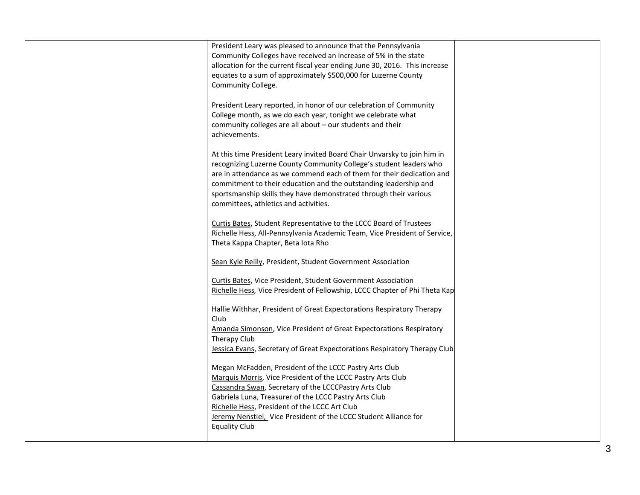| President Leary was pleased to announce that the Pennsylvania<br>Community Colleges have received an increase of 5% in the state<br>allocation for the current fiscal year ending June 30, 2016. This increase<br>equates to a sum of approximately \$500,000 for Luzerne County<br>Community College.<br>President Leary reported, in honor of our celebration of Community<br>College month, as we do each year, tonight we celebrate what<br>community colleges are all about - our students and their<br>achievements.<br>At this time President Leary invited Board Chair Unvarsky to join him in<br>recognizing Luzerne County Community College's student leaders who<br>are in attendance as we commend each of them for their dedication and<br>commitment to their education and the outstanding leadership and<br>sportsmanship skills they have demonstrated through their various<br>committees, athletics and activities. |  |
|-----------------------------------------------------------------------------------------------------------------------------------------------------------------------------------------------------------------------------------------------------------------------------------------------------------------------------------------------------------------------------------------------------------------------------------------------------------------------------------------------------------------------------------------------------------------------------------------------------------------------------------------------------------------------------------------------------------------------------------------------------------------------------------------------------------------------------------------------------------------------------------------------------------------------------------------|--|
| Curtis Bates, Student Representative to the LCCC Board of Trustees<br>Richelle Hess, All-Pennsylvania Academic Team, Vice President of Service,<br>Theta Kappa Chapter, Beta lota Rho                                                                                                                                                                                                                                                                                                                                                                                                                                                                                                                                                                                                                                                                                                                                                   |  |
| Sean Kyle Reilly, President, Student Government Association                                                                                                                                                                                                                                                                                                                                                                                                                                                                                                                                                                                                                                                                                                                                                                                                                                                                             |  |
| Curtis Bates, Vice President, Student Government Association<br>Richelle Hess, Vice President of Fellowship, LCCC Chapter of Phi Theta Kap                                                                                                                                                                                                                                                                                                                                                                                                                                                                                                                                                                                                                                                                                                                                                                                              |  |
| Hallie Withhar, President of Great Expectorations Respiratory Therapy<br>Club.<br>Amanda Simonson, Vice President of Great Expectorations Respiratory<br>Therapy Club<br>Jessica Evans, Secretary of Great Expectorations Respiratory Therapy Club                                                                                                                                                                                                                                                                                                                                                                                                                                                                                                                                                                                                                                                                                      |  |
| Megan McFadden, President of the LCCC Pastry Arts Club<br>Marquis Morris, Vice President of the LCCC Pastry Arts Club<br>Cassandra Swan, Secretary of the LCCCPastry Arts Club<br>Gabriela Luna, Treasurer of the LCCC Pastry Arts Club<br>Richelle Hess, President of the LCCC Art Club<br>Jeremy Nenstiel, Vice President of the LCCC Student Alliance for<br><b>Equality Club</b>                                                                                                                                                                                                                                                                                                                                                                                                                                                                                                                                                    |  |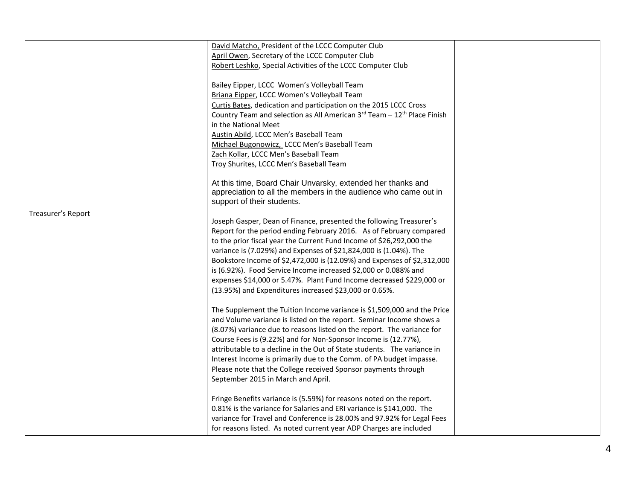|                    | David Matcho, President of the LCCC Computer Club                                   |  |
|--------------------|-------------------------------------------------------------------------------------|--|
|                    | April Owen, Secretary of the LCCC Computer Club                                     |  |
|                    | Robert Leshko, Special Activities of the LCCC Computer Club                         |  |
|                    |                                                                                     |  |
|                    | Bailey Eipper, LCCC Women's Volleyball Team                                         |  |
|                    | Briana Eipper, LCCC Women's Volleyball Team                                         |  |
|                    | Curtis Bates, dedication and participation on the 2015 LCCC Cross                   |  |
|                    | Country Team and selection as All American 3rd Team - 12 <sup>th</sup> Place Finish |  |
|                    | in the National Meet                                                                |  |
|                    | Austin Abild, LCCC Men's Baseball Team                                              |  |
|                    | Michael Bugonowicz, LCCC Men's Baseball Team                                        |  |
|                    | Zach Kollar, LCCC Men's Baseball Team                                               |  |
|                    | Troy Shurites, LCCC Men's Baseball Team                                             |  |
|                    |                                                                                     |  |
|                    | At this time, Board Chair Unvarsky, extended her thanks and                         |  |
|                    | appreciation to all the members in the audience who came out in                     |  |
|                    | support of their students.                                                          |  |
| Treasurer's Report |                                                                                     |  |
|                    | Joseph Gasper, Dean of Finance, presented the following Treasurer's                 |  |
|                    | Report for the period ending February 2016. As of February compared                 |  |
|                    | to the prior fiscal year the Current Fund Income of \$26,292,000 the                |  |
|                    | variance is (7.029%) and Expenses of \$21,824,000 is (1.04%). The                   |  |
|                    | Bookstore Income of \$2,472,000 is (12.09%) and Expenses of \$2,312,000             |  |
|                    | is (6.92%). Food Service Income increased \$2,000 or 0.088% and                     |  |
|                    | expenses \$14,000 or 5.47%. Plant Fund Income decreased \$229,000 or                |  |
|                    | (13.95%) and Expenditures increased \$23,000 or 0.65%.                              |  |
|                    |                                                                                     |  |
|                    | The Supplement the Tuition Income variance is \$1,509,000 and the Price             |  |
|                    | and Volume variance is listed on the report. Seminar Income shows a                 |  |
|                    | (8.07%) variance due to reasons listed on the report. The variance for              |  |
|                    | Course Fees is (9.22%) and for Non-Sponsor Income is (12.77%),                      |  |
|                    | attributable to a decline in the Out of State students. The variance in             |  |
|                    | Interest Income is primarily due to the Comm. of PA budget impasse.                 |  |
|                    | Please note that the College received Sponsor payments through                      |  |
|                    | September 2015 in March and April.                                                  |  |
|                    |                                                                                     |  |
|                    | Fringe Benefits variance is (5.59%) for reasons noted on the report.                |  |
|                    | 0.81% is the variance for Salaries and ERI variance is \$141,000. The               |  |
|                    | variance for Travel and Conference is 28.00% and 97.92% for Legal Fees              |  |
|                    | for reasons listed. As noted current year ADP Charges are included                  |  |
|                    |                                                                                     |  |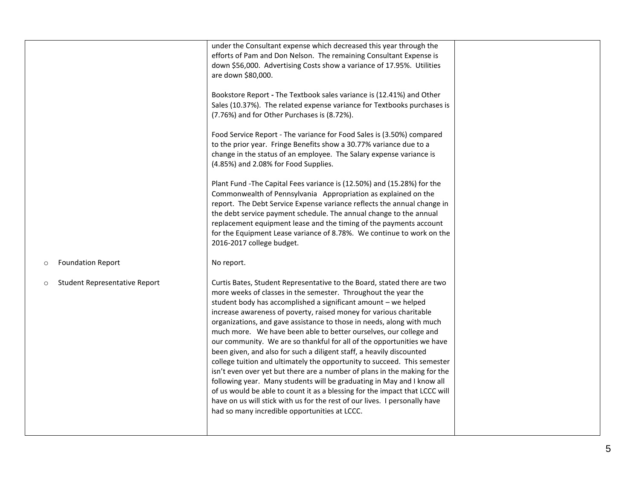| under the Consultant expense which decreased this year through the<br>efforts of Pam and Don Nelson. The remaining Consultant Expense is<br>down \$56,000. Advertising Costs show a variance of 17.95%. Utilities<br>are down \$80,000.                                                                                                                                                                                                                                                                                                                                                                                                                                                                                                                                                                                                                                                                                                                                                                                            |  |
|------------------------------------------------------------------------------------------------------------------------------------------------------------------------------------------------------------------------------------------------------------------------------------------------------------------------------------------------------------------------------------------------------------------------------------------------------------------------------------------------------------------------------------------------------------------------------------------------------------------------------------------------------------------------------------------------------------------------------------------------------------------------------------------------------------------------------------------------------------------------------------------------------------------------------------------------------------------------------------------------------------------------------------|--|
| Bookstore Report - The Textbook sales variance is (12.41%) and Other<br>Sales (10.37%). The related expense variance for Textbooks purchases is<br>(7.76%) and for Other Purchases is (8.72%).                                                                                                                                                                                                                                                                                                                                                                                                                                                                                                                                                                                                                                                                                                                                                                                                                                     |  |
| Food Service Report - The variance for Food Sales is (3.50%) compared<br>to the prior year. Fringe Benefits show a 30.77% variance due to a<br>change in the status of an employee. The Salary expense variance is<br>(4.85%) and 2.08% for Food Supplies.                                                                                                                                                                                                                                                                                                                                                                                                                                                                                                                                                                                                                                                                                                                                                                         |  |
| Plant Fund -The Capital Fees variance is (12.50%) and (15.28%) for the<br>Commonwealth of Pennsylvania Appropriation as explained on the<br>report. The Debt Service Expense variance reflects the annual change in<br>the debt service payment schedule. The annual change to the annual<br>replacement equipment lease and the timing of the payments account<br>for the Equipment Lease variance of 8.78%. We continue to work on the<br>2016-2017 college budget.                                                                                                                                                                                                                                                                                                                                                                                                                                                                                                                                                              |  |
| No report.                                                                                                                                                                                                                                                                                                                                                                                                                                                                                                                                                                                                                                                                                                                                                                                                                                                                                                                                                                                                                         |  |
| Curtis Bates, Student Representative to the Board, stated there are two<br>more weeks of classes in the semester. Throughout the year the<br>student body has accomplished a significant amount - we helped<br>increase awareness of poverty, raised money for various charitable<br>organizations, and gave assistance to those in needs, along with much<br>much more. We have been able to better ourselves, our college and<br>our community. We are so thankful for all of the opportunities we have<br>been given, and also for such a diligent staff, a heavily discounted<br>college tuition and ultimately the opportunity to succeed. This semester<br>isn't even over yet but there are a number of plans in the making for the<br>following year. Many students will be graduating in May and I know all<br>of us would be able to count it as a blessing for the impact that LCCC will<br>have on us will stick with us for the rest of our lives. I personally have<br>had so many incredible opportunities at LCCC. |  |
|                                                                                                                                                                                                                                                                                                                                                                                                                                                                                                                                                                                                                                                                                                                                                                                                                                                                                                                                                                                                                                    |  |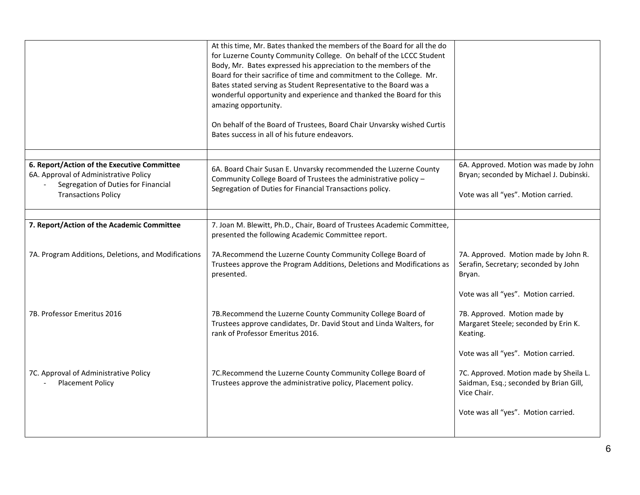|                                                                                                                             | At this time, Mr. Bates thanked the members of the Board for all the do<br>for Luzerne County Community College. On behalf of the LCCC Student<br>Body, Mr. Bates expressed his appreciation to the members of the<br>Board for their sacrifice of time and commitment to the College. Mr.<br>Bates stated serving as Student Representative to the Board was a<br>wonderful opportunity and experience and thanked the Board for this<br>amazing opportunity.<br>On behalf of the Board of Trustees, Board Chair Unvarsky wished Curtis<br>Bates success in all of his future endeavors. |                                                                                                 |
|-----------------------------------------------------------------------------------------------------------------------------|-------------------------------------------------------------------------------------------------------------------------------------------------------------------------------------------------------------------------------------------------------------------------------------------------------------------------------------------------------------------------------------------------------------------------------------------------------------------------------------------------------------------------------------------------------------------------------------------|-------------------------------------------------------------------------------------------------|
|                                                                                                                             |                                                                                                                                                                                                                                                                                                                                                                                                                                                                                                                                                                                           |                                                                                                 |
| 6. Report/Action of the Executive Committee<br>6A. Approval of Administrative Policy<br>Segregation of Duties for Financial | 6A. Board Chair Susan E. Unvarsky recommended the Luzerne County<br>Community College Board of Trustees the administrative policy -                                                                                                                                                                                                                                                                                                                                                                                                                                                       | 6A. Approved. Motion was made by John<br>Bryan; seconded by Michael J. Dubinski.                |
| <b>Transactions Policy</b>                                                                                                  | Segregation of Duties for Financial Transactions policy.                                                                                                                                                                                                                                                                                                                                                                                                                                                                                                                                  | Vote was all "yes". Motion carried.                                                             |
|                                                                                                                             |                                                                                                                                                                                                                                                                                                                                                                                                                                                                                                                                                                                           |                                                                                                 |
| 7. Report/Action of the Academic Committee                                                                                  | 7. Joan M. Blewitt, Ph.D., Chair, Board of Trustees Academic Committee,<br>presented the following Academic Committee report.                                                                                                                                                                                                                                                                                                                                                                                                                                                             |                                                                                                 |
| 7A. Program Additions, Deletions, and Modifications                                                                         | 7A.Recommend the Luzerne County Community College Board of<br>Trustees approve the Program Additions, Deletions and Modifications as<br>presented.                                                                                                                                                                                                                                                                                                                                                                                                                                        | 7A. Approved. Motion made by John R.<br>Serafin, Secretary; seconded by John<br>Bryan.          |
|                                                                                                                             |                                                                                                                                                                                                                                                                                                                                                                                                                                                                                                                                                                                           | Vote was all "yes". Motion carried.                                                             |
| 7B. Professor Emeritus 2016                                                                                                 | 7B.Recommend the Luzerne County Community College Board of<br>Trustees approve candidates, Dr. David Stout and Linda Walters, for<br>rank of Professor Emeritus 2016.                                                                                                                                                                                                                                                                                                                                                                                                                     | 7B. Approved. Motion made by<br>Margaret Steele; seconded by Erin K.<br>Keating.                |
|                                                                                                                             |                                                                                                                                                                                                                                                                                                                                                                                                                                                                                                                                                                                           | Vote was all "yes". Motion carried.                                                             |
| 7C. Approval of Administrative Policy<br><b>Placement Policy</b>                                                            | 7C.Recommend the Luzerne County Community College Board of<br>Trustees approve the administrative policy, Placement policy.                                                                                                                                                                                                                                                                                                                                                                                                                                                               | 7C. Approved. Motion made by Sheila L.<br>Saidman, Esq.; seconded by Brian Gill,<br>Vice Chair. |
|                                                                                                                             |                                                                                                                                                                                                                                                                                                                                                                                                                                                                                                                                                                                           | Vote was all "yes". Motion carried.                                                             |
|                                                                                                                             |                                                                                                                                                                                                                                                                                                                                                                                                                                                                                                                                                                                           |                                                                                                 |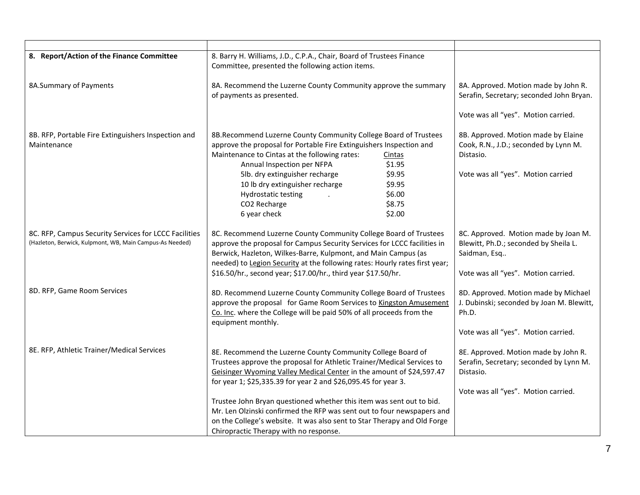| 8. Report/Action of the Finance Committee                                                                         | 8. Barry H. Williams, J.D., C.P.A., Chair, Board of Trustees Finance<br>Committee, presented the following action items.                                                                                                                                                                                                                                                                                                                                                                                                                                |                                                                                                                                      |
|-------------------------------------------------------------------------------------------------------------------|---------------------------------------------------------------------------------------------------------------------------------------------------------------------------------------------------------------------------------------------------------------------------------------------------------------------------------------------------------------------------------------------------------------------------------------------------------------------------------------------------------------------------------------------------------|--------------------------------------------------------------------------------------------------------------------------------------|
| 8A.Summary of Payments                                                                                            | 8A. Recommend the Luzerne County Community approve the summary<br>of payments as presented.                                                                                                                                                                                                                                                                                                                                                                                                                                                             | 8A. Approved. Motion made by John R.<br>Serafin, Secretary; seconded John Bryan.<br>Vote was all "yes". Motion carried.              |
| 8B. RFP, Portable Fire Extinguishers Inspection and<br>Maintenance                                                | 8B.Recommend Luzerne County Community College Board of Trustees<br>approve the proposal for Portable Fire Extinguishers Inspection and<br>Maintenance to Cintas at the following rates:<br>Cintas<br>Annual Inspection per NFPA<br>\$1.95<br>\$9.95<br>5lb. dry extinguisher recharge<br>10 lb dry extinguisher recharge<br>\$9.95<br>\$6.00<br>Hydrostatic testing<br>\$8.75<br>CO2 Recharge<br>6 year check<br>\$2.00                                                                                                                                 | 8B. Approved. Motion made by Elaine<br>Cook, R.N., J.D.; seconded by Lynn M.<br>Distasio.<br>Vote was all "yes". Motion carried      |
| 8C. RFP, Campus Security Services for LCCC Facilities<br>(Hazleton, Berwick, Kulpmont, WB, Main Campus-As Needed) | 8C. Recommend Luzerne County Community College Board of Trustees<br>approve the proposal for Campus Security Services for LCCC facilities in<br>Berwick, Hazleton, Wilkes-Barre, Kulpmont, and Main Campus (as<br>needed) to Legion Security at the following rates: Hourly rates first year;<br>\$16.50/hr., second year; \$17.00/hr., third year \$17.50/hr.                                                                                                                                                                                          | 8C. Approved. Motion made by Joan M.<br>Blewitt, Ph.D.; seconded by Sheila L.<br>Saidman, Esq<br>Vote was all "yes". Motion carried. |
| 8D. RFP, Game Room Services                                                                                       | 8D. Recommend Luzerne County Community College Board of Trustees<br>approve the proposal for Game Room Services to Kingston Amusement<br>Co. Inc. where the College will be paid 50% of all proceeds from the<br>equipment monthly.                                                                                                                                                                                                                                                                                                                     | 8D. Approved. Motion made by Michael<br>J. Dubinski; seconded by Joan M. Blewitt,<br>Ph.D.<br>Vote was all "yes". Motion carried.    |
| 8E. RFP, Athletic Trainer/Medical Services                                                                        | 8E. Recommend the Luzerne County Community College Board of<br>Trustees approve the proposal for Athletic Trainer/Medical Services to<br>Geisinger Wyoming Valley Medical Center in the amount of \$24,597.47<br>for year 1; \$25,335.39 for year 2 and \$26,095.45 for year 3.<br>Trustee John Bryan questioned whether this item was sent out to bid.<br>Mr. Len Olzinski confirmed the RFP was sent out to four newspapers and<br>on the College's website. It was also sent to Star Therapy and Old Forge<br>Chiropractic Therapy with no response. | 8E. Approved. Motion made by John R.<br>Serafin, Secretary; seconded by Lynn M.<br>Distasio.<br>Vote was all "yes". Motion carried.  |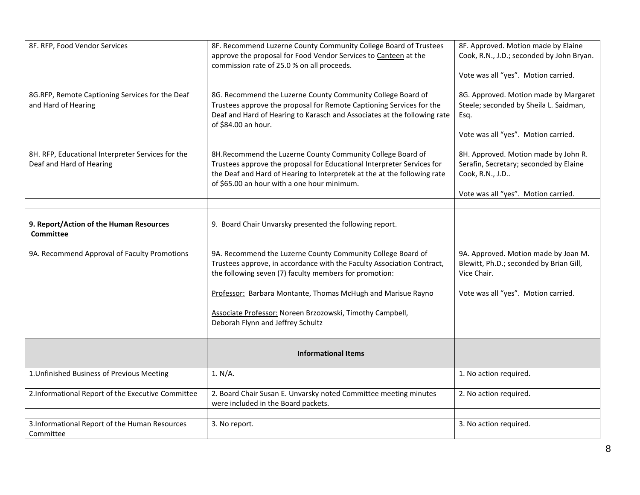| 8F. RFP, Food Vendor Services                                                 | 8F. Recommend Luzerne County Community College Board of Trustees<br>approve the proposal for Food Vendor Services to Canteen at the<br>commission rate of 25.0 % on all proceeds.                                                                               | 8F. Approved. Motion made by Elaine<br>Cook, R.N., J.D.; seconded by John Bryan.<br>Vote was all "yes". Motion carried.                                                         |
|-------------------------------------------------------------------------------|-----------------------------------------------------------------------------------------------------------------------------------------------------------------------------------------------------------------------------------------------------------------|---------------------------------------------------------------------------------------------------------------------------------------------------------------------------------|
| 8G.RFP, Remote Captioning Services for the Deaf<br>and Hard of Hearing        | 8G. Recommend the Luzerne County Community College Board of<br>Trustees approve the proposal for Remote Captioning Services for the<br>Deaf and Hard of Hearing to Karasch and Associates at the following rate<br>of \$84.00 an hour.                          | 8G. Approved. Motion made by Margaret<br>Steele; seconded by Sheila L. Saidman,<br>Esq.                                                                                         |
| 8H. RFP, Educational Interpreter Services for the<br>Deaf and Hard of Hearing | 8H.Recommend the Luzerne County Community College Board of<br>Trustees approve the proposal for Educational Interpreter Services for<br>the Deaf and Hard of Hearing to Interpretek at the at the following rate<br>of \$65.00 an hour with a one hour minimum. | Vote was all "yes". Motion carried.<br>8H. Approved. Motion made by John R.<br>Serafin, Secretary; seconded by Elaine<br>Cook, R.N., J.D<br>Vote was all "yes". Motion carried. |
|                                                                               |                                                                                                                                                                                                                                                                 |                                                                                                                                                                                 |
| 9. Report/Action of the Human Resources<br><b>Committee</b>                   | 9. Board Chair Unvarsky presented the following report.                                                                                                                                                                                                         |                                                                                                                                                                                 |
| 9A. Recommend Approval of Faculty Promotions                                  | 9A. Recommend the Luzerne County Community College Board of<br>Trustees approve, in accordance with the Faculty Association Contract,<br>the following seven (7) faculty members for promotion:                                                                 | 9A. Approved. Motion made by Joan M.<br>Blewitt, Ph.D.; seconded by Brian Gill,<br>Vice Chair.                                                                                  |
|                                                                               | Professor: Barbara Montante, Thomas McHugh and Marisue Rayno                                                                                                                                                                                                    | Vote was all "yes". Motion carried.                                                                                                                                             |
|                                                                               | Associate Professor: Noreen Brzozowski, Timothy Campbell,<br>Deborah Flynn and Jeffrey Schultz                                                                                                                                                                  |                                                                                                                                                                                 |
|                                                                               |                                                                                                                                                                                                                                                                 |                                                                                                                                                                                 |
|                                                                               | <b>Informational Items</b>                                                                                                                                                                                                                                      |                                                                                                                                                                                 |
| 1. Unfinished Business of Previous Meeting                                    | 1. N/A.                                                                                                                                                                                                                                                         | 1. No action required.                                                                                                                                                          |
| 2.Informational Report of the Executive Committee                             | 2. Board Chair Susan E. Unvarsky noted Committee meeting minutes<br>were included in the Board packets.                                                                                                                                                         | 2. No action required.                                                                                                                                                          |
|                                                                               |                                                                                                                                                                                                                                                                 |                                                                                                                                                                                 |
| 3. Informational Report of the Human Resources<br>Committee                   | 3. No report.                                                                                                                                                                                                                                                   | 3. No action required.                                                                                                                                                          |